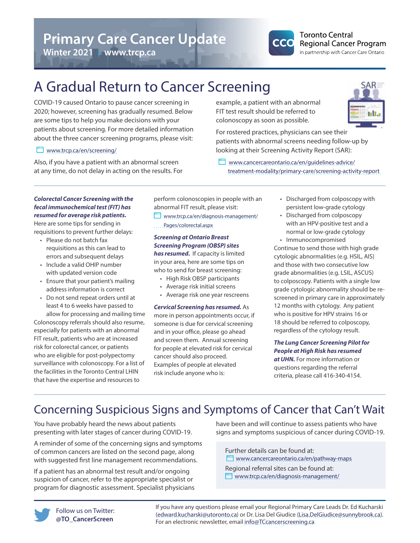**Winter 2021** • **www.trcp.ca**



### **Toronto Central Regional Cancer Program** in partnership with Cancer Care Ontario

# A Gradual Return to Cancer Screening

COVID-19 caused Ontario to pause cancer screening in 2020; however, screening has gradually resumed. Below are some tips to help you make decisions with your patients about screening. For more detailed information about the three cancer screening programs, please visit:

# **WWW.trcp.ca/en/screening/**

Also, if you have a patient with an abnormal screen at any time, do not delay in acting on the results. For example, a patient with an abnormal FIT test result should be referred to colonoscopy as soon as possible.

For rostered practices, physicians can see their patients with abnormal screens needing follow-up by looking at their Screening Activity Report (SAR):

**WWW.cancercareontario.ca/en/guidelines-advice/**  [treatment-modality/primary-care/screening-activity-report](http://www.cancercareontario.ca/en/guidelines-advice/treatment-modality/primary-care/screening-activity-report) 

#### *Colorectal Cancer Screening with the fecal immunochemical test (FIT) has resumed for average risk patients.*

Here are some tips for sending in requisitions to prevent further delays:

- Please do not batch fax requisitions as this can lead to errors and subsequent delays
- Include a valid OHIP number with updated version code
- Ensure that your patient's mailing address information is correct
- Do not send repeat orders until at least 4 to 6 weeks have passed to allow for processing and mailing time

Colonoscopy referrals should also resume, especially for patients with an abnormal FIT result, patients who are at increased risk for colorectal cancer, or patients who are eligible for post-polypectomy surveillance with colonoscopy. For a list of the facilities in the Toronto Central LHIN that have the expertise and resources to

perform colonoscopies in people with an abnormal FIT result, please visit:

[www.trcp.ca/en/diagnosis-management/](https://www.trcp.ca/en/diagnosis-management/Pages/colorectal.aspx)   [Pages/colorectal.aspx](https://www.trcp.ca/en/diagnosis-management/Pages/colorectal.aspx)

# *Screening at Ontario Breast Screening Program (OBSP) sites has resumed.* If capacity is limited in your area, here are some tips on

- who to send for breast screening: • High Risk OBSP participants
	- Average risk initial screens
	- Average risk one year rescreens

*Cervical Screening has resumed.* As more in person appointments occur, if someone is due for cervical screening and in your office, please go ahead and screen them. Annual screening for people at elevated risk for cervical cancer should also proceed. Examples of people at elevated risk include anyone who is:

- Discharged from colposcopy with persistent low-grade cytology
- Discharged from colposcopy with an HPV-positive test and a normal or low-grade cytology • Immunocompromised

Continue to send those with high grade cytologic abnormalities (e.g. HSIL, AIS) and those with two consecutive low grade abnormalities (e.g. LSIL, ASCUS) to colposcopy. Patients with a single low grade cytologic abnormality should be rescreened in primary care in approximately 12 months with cytology. Any patient who is positive for HPV strains 16 or 18 should be referred to colposcopy, regardless of the cytology result.

*The Lung Cancer Screening Pilot for People at High Risk has resumed at UHN.* For more information or questions regarding the referral criteria, please call 416-340-4154.

# Concerning Suspicious Signs and Symptoms of Cancer that Can't Wait

You have probably heard the news about patients presenting with later stages of cancer during COVID-19.

A reminder of some of the concerning signs and symptoms of common cancers are listed on the second page, along with suggested first line management recommendations.

If a patient has an abnormal test result and/or ongoing suspicion of cancer, refer to the appropriate specialist or program for diagnostic assessment. Specialist physicians have been and will continue to assess patients who have signs and symptoms suspicious of cancer during COVID-19.

Further details can be found at: **WWW.cancercareontario.ca/en/pathway-maps** 

Regional referral sites can be found at: **WW.trcp.ca/en/diagnosis-management/** 



If you have any questions please email your Regional Primary Care Leads Dr. Ed Kucharski ([edward.kucharski@utoronto.ca](mailto:edward.kucharski@utoronto.ca)) or Dr. Lisa Del Giudice ([Lisa.DelGiudice@sunnybrook.ca\)](mailto:Lisa.DelGiudice@sunnybrook.ca). For an electronic newsletter, email [info@TCcancerscreening.ca](mailto:info@TCcancerscreening.ca)